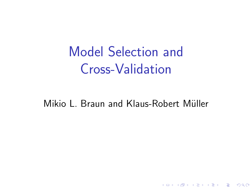Model Selection and Cross-Validation

Mikio L. Braun and Klaus-Robert Müller

K ロ ▶ K @ ▶ K 할 ▶ K 할 ▶ | 할 | © 9 Q @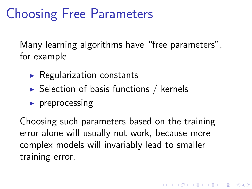## Choosing Free Parameters

Many learning algorithms have "free parameters", for example

- $\triangleright$  Regularization constants
- $\triangleright$  Selection of basis functions / kernels
- $\triangleright$  preprocessing

Choosing such parameters based on the training error alone will usually not work, because more complex models will invariably lead to smaller training error.

**K ロ ▶ K @ ▶ K 할 X X 할 X 및 할 X X Q Q O**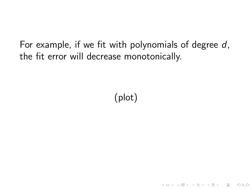For example, if we fit with polynomials of degree  $d$ , the fit error will decrease monotonically.

(plot)

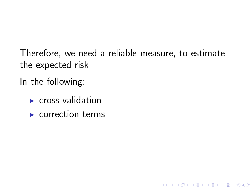Therefore, we need a reliable measure, to estimate the expected risk

**KORK ERKER ADAM ADA** 

In the following:

- $\triangleright$  cross-validation
- $\blacktriangleright$  correction terms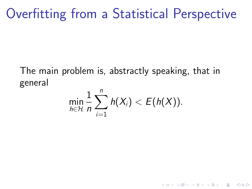## Overfitting from a Statistical Perspective

The main problem is, abstractly speaking, that in general

$$
\min_{h\in\mathcal{H}}\frac{1}{n}\sum_{i=1}^n h(X_i)< E(h(X)).
$$

K ロ ▶ K @ ▶ K 할 > K 할 > 1 할 > 1 이익어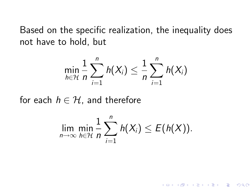Based on the specific realization, the inequality does not have to hold, but

$$
\min_{h \in \mathcal{H}} \frac{1}{n} \sum_{i=1}^n h(X_i) \leq \frac{1}{n} \sum_{i=1}^n h(X_i)
$$

for each  $h \in \mathcal{H}$ , and therefore

$$
\lim_{n\to\infty}\min_{h\in\mathcal{H}}\frac{1}{n}\sum_{i=1}^n h(X_i)\leq E(h(X)).
$$

K ロ > K @ > K 할 > K 할 > → 할 → ⊙ Q Q\*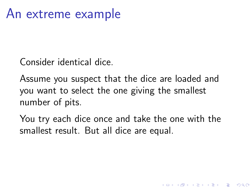Consider identical dice.

Assume you suspect that the dice are loaded and you want to select the one giving the smallest number of pits.

You try each dice once and take the one with the smallest result. But all dice are equal.

**KORK ERKER ADAM ADA**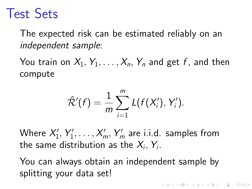## Test Sets

The expected risk can be estimated reliably on an independent sample:

You train on  $X_1, Y_1, \ldots, X_n, Y_n$  and get f, and then compute

$$
\hat{\mathcal{R}}'(f)=\frac{1}{m}\sum_{i=1}^m L(f(X_i'),Y_i').
$$

Where  $X_1'$  $Y'_1, Y'_1$  $\gamma_1',\ldots,\mathcal{X}'_m,\mathcal{Y}'_m$  are i.i.d. samples from the same distribution as the  $X_i, \, Y_i.$ 

You can always obtain an independent sample by splitting your data set!

**KORKAR KERKER EL VOLO**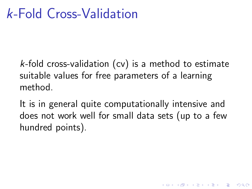$k$ -fold cross-validation (cv) is a method to estimate suitable values for free parameters of a learning method.

It is in general quite computationally intensive and does not work well for small data sets (up to a few hundred points).

4 0 > 4 4 + 4 3 + 4 3 + 5 + 9 4 0 +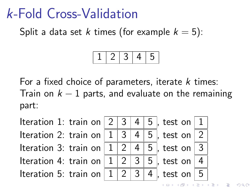## k-Fold Cross-Validation

Split a data set k times (for example  $k = 5$ ):

1 2 3 4 5

For a fixed choice of parameters, iterate  $k$  times: Train on  $k - 1$  parts, and evaluate on the remaining part:



 $\Omega$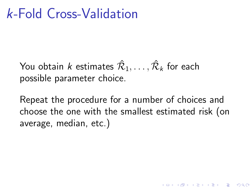## k-Fold Cross-Validation

You obtain  $k$  estimates  $\hat{\mathcal{R}}_1,\ldots,\hat{\mathcal{R}}_k$  for each possible parameter choice.

Repeat the procedure for a number of choices and choose the one with the smallest estimated risk (on average, median, etc.)

4 0 > 4 4 + 4 3 + 4 3 + 5 + 9 4 0 +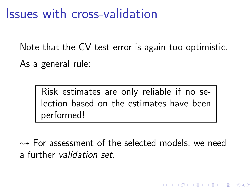### Issues with cross-validation

Note that the CV test error is again too optimistic. As a general rule:

> Risk estimates are only reliable if no selection based on the estimates have been performed!

 $\rightsquigarrow$  For assessment of the selected models, we need a further validation set.

**KOD KAR KED KED E YORA**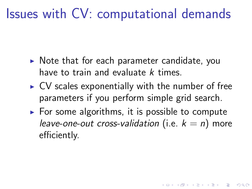## Issues with CV: computational demands

- $\triangleright$  Note that for each parameter candidate, you have to train and evaluate  $k$  times.
- $\triangleright$  CV scales exponentially with the number of free parameters if you perform simple grid search.
- $\triangleright$  For some algorithms, it is possible to compute leave-one-out cross-validation (i.e.  $k = n$ ) more efficiently.

**KORK ERKER ADAM ADA**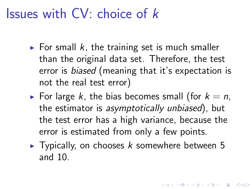## Issues with CV: choice of k

- $\triangleright$  For small k, the training set is much smaller than the original data set. Therefore, the test error is biased (meaning that it's expectation is not the real test error)
- For large k, the bias becomes small (for  $k = n$ , the estimator is asymptotically unbiased), but the test error has a high variance, because the error is estimated from only a few points.
- $\blacktriangleright$  Typically, on chooses k somewhere between 5 and 10.

**KORKAR KERKER EL VOLO**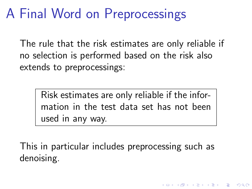## A Final Word on Preprocessings

The rule that the risk estimates are only reliable if no selection is performed based on the risk also extends to preprocessings:

> Risk estimates are only reliable if the information in the test data set has not been used in any way.

This in particular includes preprocessing such as denoising.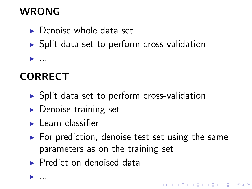### **WRONG**

- $\blacktriangleright$  Denoise whole data set
- $\triangleright$  Split data set to perform cross-validation

**CORRECT** 

 $\blacktriangleright$  ...

 $\blacktriangleright$  ...

- $\triangleright$  Split data set to perform cross-validation
- $\triangleright$  Denoise training set
- $\blacktriangleright$  Learn classifier
- $\triangleright$  For prediction, denoise test set using the same parameters as on the training set

 $\blacktriangleright$  Predict on denoised data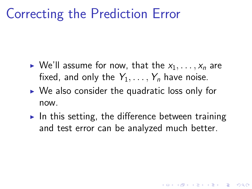## Correcting the Prediction Error

- $\triangleright$  We'll assume for now, that the  $x_1, \ldots, x_n$  are fixed, and only the  $Y_1, \ldots, Y_n$  have noise.
- $\triangleright$  We also consider the quadratic loss only for now.
- In this setting, the difference between training and test error can be analyzed much better.

K ロ ▶ K @ ▶ K 할 ▶ K 할 ▶ 이 할 → 9 Q @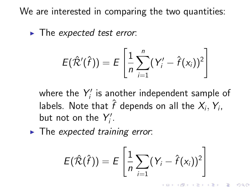We are interested in comparing the two quantities:

 $\blacktriangleright$  The expected test error:

$$
E(\hat{\mathcal{R}}'(\hat{f})) = E\left[\frac{1}{n}\sum_{i=1}^n (Y'_i - \hat{f}(x_i))^2\right]
$$

where the  $Y_i'$  $\gamma'_{i}$  is another independent sample of labels. Note that  $\hat{f}$  depends on all the  $X_i,Y_i,$ but not on the  $Y_i'$  $\frac{\eta}{i}$ .

 $\blacktriangleright$  The expected training error:

$$
E(\hat{\mathcal{R}}(\hat{f})) = E\left[\frac{1}{n}\sum_{i=1} (Y_i - \hat{f}(x_i))^2\right]
$$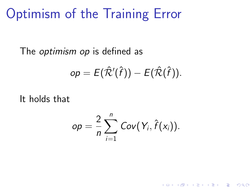## Optimism of the Training Error

The *optimism op* is defined as

$$
op = E(\hat{\mathcal{R}}'(\hat{f})) - E(\hat{\mathcal{R}}(\hat{f})).
$$

It holds that

$$
op = \frac{2}{n} \sum_{i=1}^n Cov(Y_i, \hat{f}(x_i)).
$$

K ロ ▶ K @ ▶ K 할 ▶ K 할 ▶ 이 할 → 9 Q @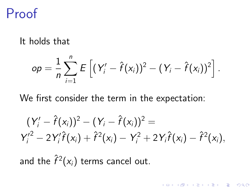## Proof

#### It holds that

$$
op = \frac{1}{n} \sum_{i=1}^{n} E\left[ (Y'_i - \hat{f}(x_i))^2 - (Y_i - \hat{f}(x_i))^2 \right].
$$

We first consider the term in the expectation:

$$
(Y'_{i} - \hat{f}(x_{i}))^{2} - (Y_{i} - \hat{f}(x_{i}))^{2} =
$$
  
\n
$$
Y'^{2}_{i} - 2Y'_{i}\hat{f}(x_{i}) + \hat{f}^{2}(x_{i}) - Y^{2}_{i} + 2Y_{i}\hat{f}(x_{i}) - \hat{f}^{2}(x_{i}),
$$

K □ ▶ K @ ▶ K 할 X K 할 X T 할 X 1 9 Q Q \*

and the  $\hat{f}^2(x_i)$  terms cancel out.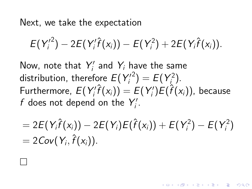Next, we take the expectation

 $\Box$ 

$$
E(Y_i'^2) - 2E(Y_i'\hat{f}(x_i)) - E(Y_i^2) + 2E(Y_i\hat{f}(x_i)).
$$

Now, note that  $Y_i'$  $\gamma_i'$  and  $\gamma_i$  have the same distribution, therefore  $E(Y_i)$ i <sup>2</sup>) =  $E(Y_i^2)$  $\binom{2}{i}$ . Furthermore,  $E(Y_i)$  $\zeta_i'\hat{f}(x_i))=E(Y_i')$  $\hat{f}_i^{\prime})E(\hat{f}(x_i))$ , because f does not depend on the  $Y_i'$  $\frac{\prime\prime}{\prime}$  .

$$
= 2E(Y_i\hat{f}(x_i)) - 2E(Y_i)E(\hat{f}(x_i)) + E(Y_i^2) - E(Y_i^2) = 2Cov(Y_i, \hat{f}(x_i)).
$$

**KOD KAR KED KED E YORA**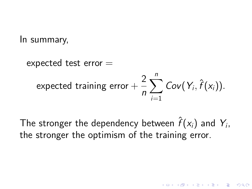In summary,

expected test error  $=$ expected training error  $+\,\frac{2}{\,}$ n  $\sum$ n  $i=1$  $Cov(Y_i, \hat{f}(x_i)).$ 

The stronger the dependency between  $\hat{f}(\mathsf{x}_i)$  and  $\mathsf{Y}_i,$ the stronger the optimism of the training error.

4 0 > 4 4 + 4 3 + 4 3 + 5 + 9 4 0 +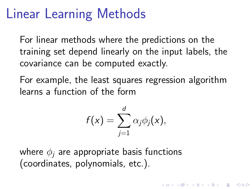## Linear Learning Methods

For linear methods where the predictions on the training set depend linearly on the input labels, the covariance can be computed exactly.

For example, the least squares regression algorithm learns a function of the form

$$
f(x)=\sum_{j=1}^d \alpha_j \phi_j(x),
$$

4 D > 4 P + 4 B + 4 B + B + 9 Q O

where  $\phi_i$  are appropriate basis functions (coordinates, polynomials, etc.).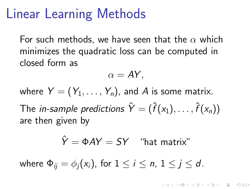### Linear Learning Methods

For such methods, we have seen that the  $\alpha$  which minimizes the quadratic loss can be computed in closed form as

$$
\alpha = AY,
$$

where  $Y = (Y_1, \ldots, Y_n)$ , and A is some matrix. The *in-sample predictions*  $\hat{Y} = (\hat{f}(x_1), \ldots, \hat{f}(x_n))$ are then given by

$$
\hat{Y} = \Phi A Y = SY
$$
 "hat matrix"

where  $\Phi_{ii} = \phi_i(x_i)$ , for  $1 \le i \le n$ ,  $1 \le j \le d$ .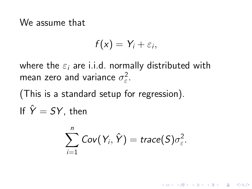#### We assume that

$$
f(x)=Y_i+\varepsilon_i,
$$

where the  $\varepsilon_i$  are i.i.d. normally distributed with mean zero and variance  $\sigma_{\varepsilon}^2$ ε .

(This is a standard setup for regression).  $\hat{y}$   $\hat{y}$   $\hat{y}$   $\hat{y}$   $\hat{y}$   $\hat{y}$ 

$$
ext{If } Y = SY, \text{ then}
$$

$$
\sum_{i=1}^n \text{Cov}(Y_i, \hat{Y}) = \text{trace}(S)\sigma_{\varepsilon}^2.
$$

**KORK ERKER ADE YOUR**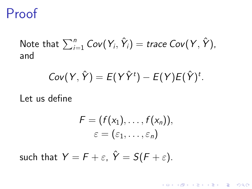### Proof

Note that  $\sum_{i=1}^n\mathsf{Cov}(\mathsf{Y}_i,\hat{\mathsf{Y}}_i) =$  trace  $\mathsf{Cov}(\mathsf{Y},\hat{\mathsf{Y}})$ , and

$$
Cov(Y, \hat{Y}) = E(Y\hat{Y}^t) - E(Y)E(\hat{Y})^t.
$$

Let us define

$$
F = (f(x_1), \ldots, f(x_n)),
$$
  

$$
\varepsilon = (\varepsilon_1, \ldots, \varepsilon_n)
$$

**KORK ERKER ER AGA** 

such that  $Y = F + \varepsilon$ ,  $\hat{Y} = S(F + \varepsilon)$ .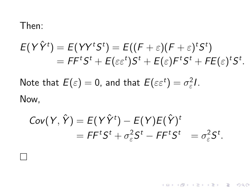#### Then:

$$
E(Y\hat{Y}^t) = E(YY^tS^t) = E((F + \varepsilon)(F + \varepsilon)^tS^t) = FF^tS^t + E(\varepsilon\varepsilon^t)S^t + E(\varepsilon)F^tS^t + FE(\varepsilon)^tS^t.
$$

Note that  $E(\varepsilon)=0$ , and that  $E(\varepsilon\varepsilon^t)=\sigma_\varepsilon^2$  $\frac{2}{\varepsilon}$ .

Now,

 $\Box$ 

$$
Cov(Y, \hat{Y}) = E(Y\hat{Y}^t) - E(Y)E(\hat{Y})^t
$$
  
=  $FF^tS^t + \sigma_{\varepsilon}^2S^t - FF^tS^t = \sigma_{\varepsilon}^2S^t.$ 

K ロ K K (P) K (E) K (E) X (E) X (P) K (P)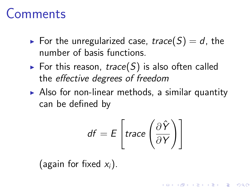## Comments

- For the unregularized case, trace(S) = d, the number of basis functions.
- $\triangleright$  For this reason, trace(S) is also often called the effective degrees of freedom
- $\triangleright$  Also for non-linear methods, a similar quantity can be defined by

$$
df = E\left[trace\left(\frac{\partial \hat{Y}}{\partial Y}\right)\right]
$$

**KORK ERKER ADE YOUR** 

(again for fixed  $x_i$ ).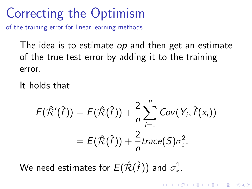## Correcting the Optimism

of the training error for linear learning methods

The idea is to estimate *op* and then get an estimate of the true test error by adding it to the training error.

It holds that

$$
E(\hat{\mathcal{R}}'(\hat{f})) = E(\hat{\mathcal{R}}(\hat{f})) + \frac{2}{n} \sum_{i=1}^{n} Cov(Y_i, \hat{f}(x_i))
$$
  
=  $E(\hat{\mathcal{R}}(\hat{f})) + \frac{2}{n} trace(S)\sigma_{\varepsilon}^{2}$ .

**KORK ERKER ADE YOUR** 

We need estimates for  $E(\hat{\cal R}(\hat{f}))$  and  $\sigma_{\varepsilon}^2$ ε .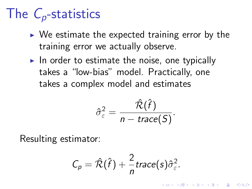# The  $C_p$ -statistics

- $\triangleright$  We estimate the expected training error by the training error we actually observe.
- In order to estimate the noise, one typically takes a "low-bias" model. Practically, one takes a complex model and estimates

$$
\hat{\sigma}_{\varepsilon}^2 = \frac{\hat{\mathcal{R}}(\hat{f})}{n - \text{trace}(\mathcal{S})}.
$$

Resulting estimator:

$$
C_p = \hat{\mathcal{R}}(\hat{f}) + \frac{2}{n} \text{trace}(s) \hat{\sigma}_{\varepsilon}^2.
$$

**KORK ERKER ADE YOUR**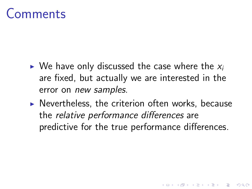## Comments

- $\triangleright$  We have only discussed the case where the  $x_i$ are fixed, but actually we are interested in the error on new samples.
- $\triangleright$  Nevertheless, the criterion often works, because the relative performance differences are predictive for the true performance differences.

**KORK ERKER ADE YOUR**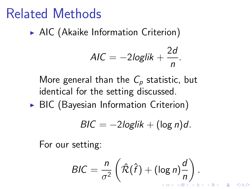## Related Methods

 $\triangleright$  AIC (Akaike Information Criterion)

$$
AIC = -2loglik + \frac{2d}{n}.
$$

More general than the  $C_p$  statistic, but identical for the setting discussed.

 $\triangleright$  BIC (Bayesian Information Criterion)

$$
BIC = -2\log lik + (\log n)d.
$$

For our setting:

$$
BIC = \frac{n}{\sigma^2} \left( \hat{\mathcal{R}}(\hat{f}) + (\log n) \frac{d}{n} \right).
$$